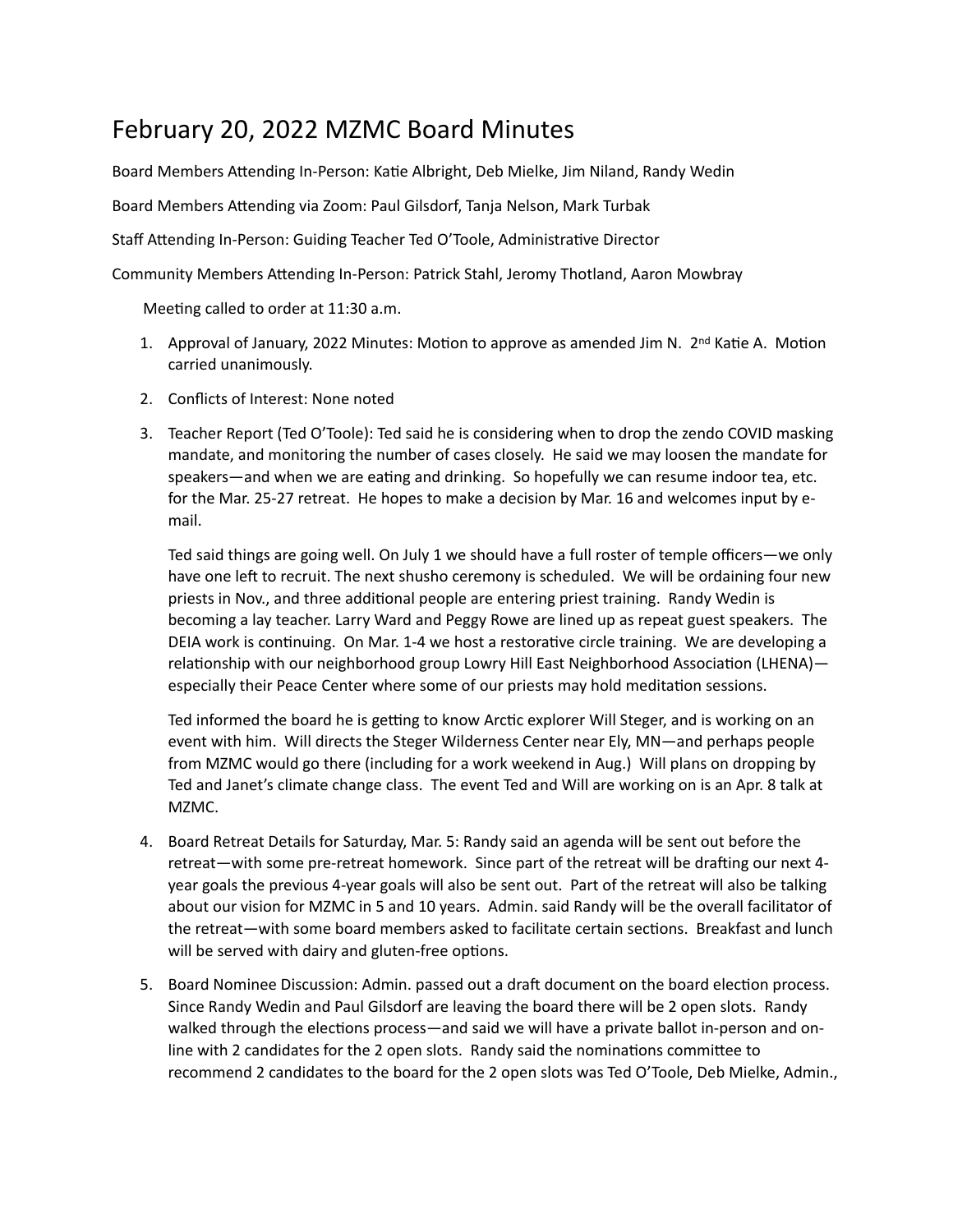## February 20, 2022 MZMC Board Minutes

Board Members Attending In-Person: Katie Albright, Deb Mielke, Jim Niland, Randy Wedin

Board Members Attending via Zoom: Paul Gilsdorf, Tanja Nelson, Mark Turbak

Staff Attending In-Person: Guiding Teacher Ted O'Toole, Administrative Director

Community Members Attending In-Person: Patrick Stahl, Jeromy Thotland, Aaron Mowbray

Meeting called to order at 11:30 a.m.

- 1. Approval of January, 2022 Minutes: Motion to approve as amended Jim N.  $2^{nd}$  Katie A. Motion carried unanimously.
- 2. Conflicts of Interest: None noted
- 3. Teacher Report (Ted O'Toole): Ted said he is considering when to drop the zendo COVID masking mandate, and monitoring the number of cases closely. He said we may loosen the mandate for speakers—and when we are eating and drinking. So hopefully we can resume indoor tea, etc. for the Mar. 25-27 retreat. He hopes to make a decision by Mar. 16 and welcomes input by email.

Ted said things are going well. On July 1 we should have a full roster of temple officers—we only have one left to recruit. The next shusho ceremony is scheduled. We will be ordaining four new priests in Nov., and three additional people are entering priest training. Randy Wedin is becoming a lay teacher. Larry Ward and Peggy Rowe are lined up as repeat guest speakers. The DEIA work is continuing. On Mar. 1-4 we host a restorative circle training. We are developing a relationship with our neighborhood group Lowry Hill East Neighborhood Association (LHENA) especially their Peace Center where some of our priests may hold meditation sessions.

Ted informed the board he is getting to know Arctic explorer Will Steger, and is working on an event with him. Will directs the Steger Wilderness Center near Ely, MN—and perhaps people from MZMC would go there (including for a work weekend in Aug.) Will plans on dropping by Ted and Janet's climate change class. The event Ted and Will are working on is an Apr. 8 talk at MZMC. 

- 4. Board Retreat Details for Saturday, Mar. 5: Randy said an agenda will be sent out before the retreat—with some pre-retreat homework. Since part of the retreat will be drafting our next 4year goals the previous 4-year goals will also be sent out. Part of the retreat will also be talking about our vision for MZMC in 5 and 10 years. Admin. said Randy will be the overall facilitator of the retreat—with some board members asked to facilitate certain sections. Breakfast and lunch will be served with dairy and gluten-free options.
- 5. Board Nominee Discussion: Admin. passed out a draft document on the board election process. Since Randy Wedin and Paul Gilsdorf are leaving the board there will be 2 open slots. Randy walked through the elections process—and said we will have a private ballot in-person and online with 2 candidates for the 2 open slots. Randy said the nominations committee to recommend 2 candidates to the board for the 2 open slots was Ted O'Toole, Deb Mielke, Admin.,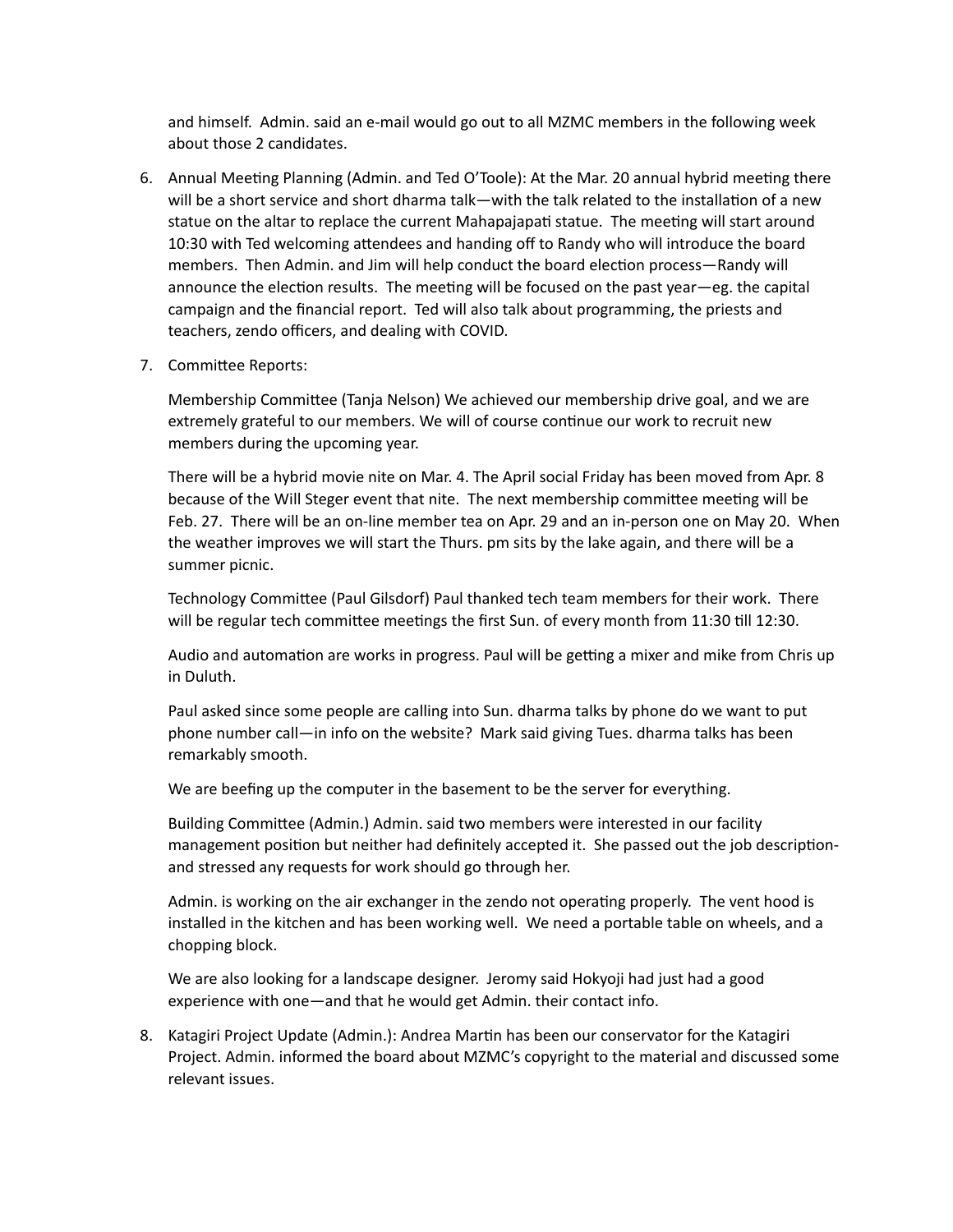and himself. Admin. said an e-mail would go out to all MZMC members in the following week about those 2 candidates.

- 6. Annual Meeting Planning (Admin. and Ted O'Toole): At the Mar. 20 annual hybrid meeting there will be a short service and short dharma talk—with the talk related to the installation of a new statue on the altar to replace the current Mahapajapati statue. The meeting will start around 10:30 with Ted welcoming attendees and handing off to Randy who will introduce the board members. Then Admin. and Jim will help conduct the board election process—Randy will announce the election results. The meeting will be focused on the past year—eg. the capital campaign and the financial report. Ted will also talk about programming, the priests and teachers, zendo officers, and dealing with COVID.
- 7. Committee Reports:

Membership Committee (Tanja Nelson) We achieved our membership drive goal, and we are extremely grateful to our members. We will of course continue our work to recruit new members during the upcoming year.

There will be a hybrid movie nite on Mar. 4. The April social Friday has been moved from Apr. 8 because of the Will Steger event that nite. The next membership committee meeting will be Feb. 27. There will be an on-line member tea on Apr. 29 and an in-person one on May 20. When the weather improves we will start the Thurs. pm sits by the lake again, and there will be a summer picnic.

Technology Committee (Paul Gilsdorf) Paul thanked tech team members for their work. There will be regular tech committee meetings the first Sun. of every month from 11:30 till 12:30.

Audio and automation are works in progress. Paul will be getting a mixer and mike from Chris up in Duluth.

Paul asked since some people are calling into Sun. dharma talks by phone do we want to put phone number call—in info on the website? Mark said giving Tues. dharma talks has been remarkably smooth.

We are beefing up the computer in the basement to be the server for everything.

Building Committee (Admin.) Admin. said two members were interested in our facility management position but neither had definitely accepted it. She passed out the job descriptionand stressed any requests for work should go through her.

Admin. is working on the air exchanger in the zendo not operating properly. The vent hood is installed in the kitchen and has been working well. We need a portable table on wheels, and a chopping block. 

We are also looking for a landscape designer. Jeromy said Hokyoji had just had a good experience with one—and that he would get Admin. their contact info.

8. Katagiri Project Update (Admin.): Andrea Martin has been our conservator for the Katagiri Project. Admin. informed the board about MZMC's copyright to the material and discussed some relevant issues.